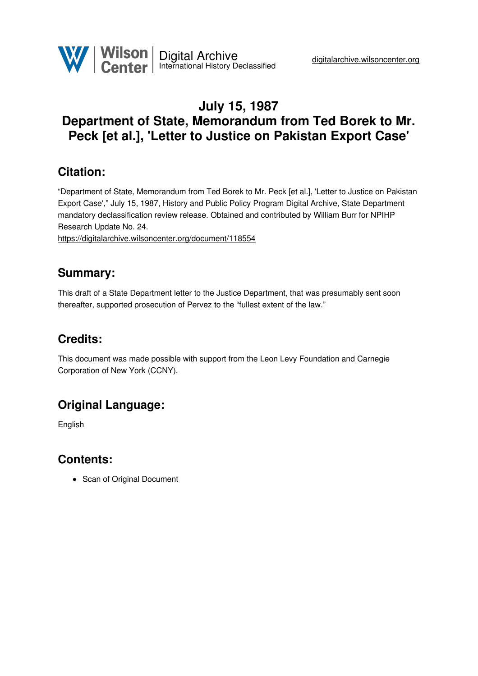

## **July 15, 1987 Department of State, Memorandum from Ted Borek to Mr. Peck [et al.], 'Letter to Justice on Pakistan Export Case'**

### **Citation:**

"Department of State, Memorandum from Ted Borek to Mr. Peck [et al.], 'Letter to Justice on Pakistan Export Case'," July 15, 1987, History and Public Policy Program Digital Archive, State Department mandatory declassification review release. Obtained and contributed by William Burr for NPIHP Research Update No. 24.

<https://digitalarchive.wilsoncenter.org/document/118554>

#### **Summary:**

This draft of a State Department letter to the Justice Department, that was presumably sent soon thereafter, supported prosecution of Pervez to the "fullest extent of the law."

### **Credits:**

This document was made possible with support from the Leon Levy Foundation and Carnegie Corporation of New York (CCNY).

# **Original Language:**

English

### **Contents:**

• Scan of Original Document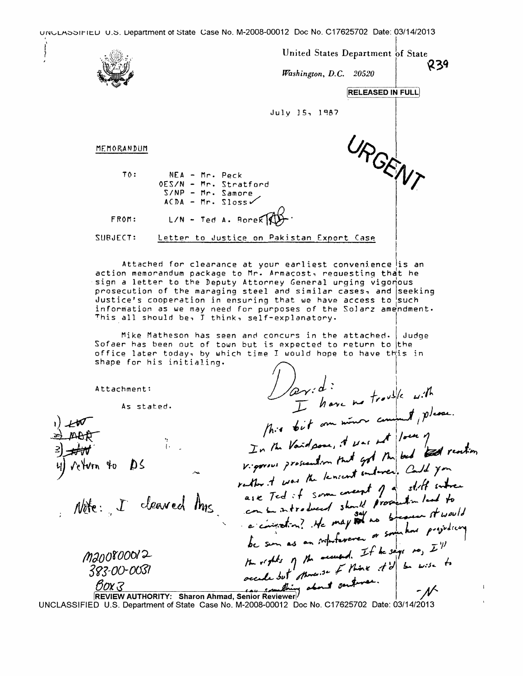UNULASSIFIED U.S. Department of State Case No. M-2008-00012 Doc No. C17625702 Date: 03/14/2013

 $\frac{1}{2}$ 

|                                                                                                                                                                                                                                                                                                                                                                                                                                                       | United States Department of State                                                                                                                                                              |
|-------------------------------------------------------------------------------------------------------------------------------------------------------------------------------------------------------------------------------------------------------------------------------------------------------------------------------------------------------------------------------------------------------------------------------------------------------|------------------------------------------------------------------------------------------------------------------------------------------------------------------------------------------------|
|                                                                                                                                                                                                                                                                                                                                                                                                                                                       | くろ9<br>Washington, D.C. 20520                                                                                                                                                                  |
|                                                                                                                                                                                                                                                                                                                                                                                                                                                       | <b>RELEASED IN FULL</b>                                                                                                                                                                        |
|                                                                                                                                                                                                                                                                                                                                                                                                                                                       | July 15, 1987                                                                                                                                                                                  |
|                                                                                                                                                                                                                                                                                                                                                                                                                                                       |                                                                                                                                                                                                |
| MEMORANDUM                                                                                                                                                                                                                                                                                                                                                                                                                                            | URGENT                                                                                                                                                                                         |
| TO:                                                                                                                                                                                                                                                                                                                                                                                                                                                   | $NEA - Mr. Peck$                                                                                                                                                                               |
|                                                                                                                                                                                                                                                                                                                                                                                                                                                       | OES/N - Mr. Stratford<br>$S/NP - Mr. Samore$                                                                                                                                                   |
|                                                                                                                                                                                                                                                                                                                                                                                                                                                       | $ACDA - Mr. Sloss$                                                                                                                                                                             |
| FROM:                                                                                                                                                                                                                                                                                                                                                                                                                                                 | $L/N$ - Ted A. Borek                                                                                                                                                                           |
| SUBJECT:                                                                                                                                                                                                                                                                                                                                                                                                                                              | Letter to Justice on Pakistan Export Case                                                                                                                                                      |
| Attached for clearance at your earliest convenience is an<br>action memorandum package to Mr. Armacost, requesting that he<br>sign a letter to the Deputy Attorney General urging vigonous<br>prosecution of the maraging steel and similar cases, and seeking<br>Justice's cooperation in ensuring that we have access to such<br>information as we may need for purposes of the Solarz amendment.<br>This all should be, J think, self-explanatory. |                                                                                                                                                                                                |
| shape for his initialing.                                                                                                                                                                                                                                                                                                                                                                                                                             | Mike Matheson has seen and concurs in the attached.<br>Judae<br>Sofaer has been out of town but is expected to return to the<br>office later today, by which time I would hope to have this in |
| Attachment:                                                                                                                                                                                                                                                                                                                                                                                                                                           |                                                                                                                                                                                                |
| As stated.                                                                                                                                                                                                                                                                                                                                                                                                                                            | I have no trouble with                                                                                                                                                                         |
| $1)$ $\pm 10$                                                                                                                                                                                                                                                                                                                                                                                                                                         | This bit an nour comput, please.                                                                                                                                                               |
| $\Rightarrow \text{MAR}$<br>$\begin{bmatrix} 2 & 0 \\ 0 & 0 \end{bmatrix}$                                                                                                                                                                                                                                                                                                                                                                            | In the Vaidpoon, it was not love of                                                                                                                                                            |
| 3) <del>160</del><br>4) Vetvrn 40 DS                                                                                                                                                                                                                                                                                                                                                                                                                  | vigorous prosecution that got the bed and reaction                                                                                                                                             |
| $\sim$ $\sim$                                                                                                                                                                                                                                                                                                                                                                                                                                         | rather it was the tensent interest. Could you                                                                                                                                                  |
|                                                                                                                                                                                                                                                                                                                                                                                                                                                       |                                                                                                                                                                                                |
| Wete: I cleaved Mrs.                                                                                                                                                                                                                                                                                                                                                                                                                                  | ask Ted of some energy of stiff subvention of the store<br>a compten? He may not no because it would                                                                                           |
|                                                                                                                                                                                                                                                                                                                                                                                                                                                       |                                                                                                                                                                                                |
|                                                                                                                                                                                                                                                                                                                                                                                                                                                       | be sun as an infutevener or somethod projection                                                                                                                                                |
| M200800012<br>383-00-0031                                                                                                                                                                                                                                                                                                                                                                                                                             | the vights of the necessary. It be says no, $L''$<br>accide but ofference of those of it is wise to                                                                                            |
|                                                                                                                                                                                                                                                                                                                                                                                                                                                       | REVIEW AUTHORITY: Sharon Ahmad. Senior Reviewer! about sentemen.                                                                                                                               |
|                                                                                                                                                                                                                                                                                                                                                                                                                                                       | $-\mathcal{N}$                                                                                                                                                                                 |

UNCLASSIFIED U.S. Department of State Case No. M-2008-00012 Doc No. C17625702 Date: 03/14/2013

 $\bar{1}$ 

 $\overline{\phantom{a}}$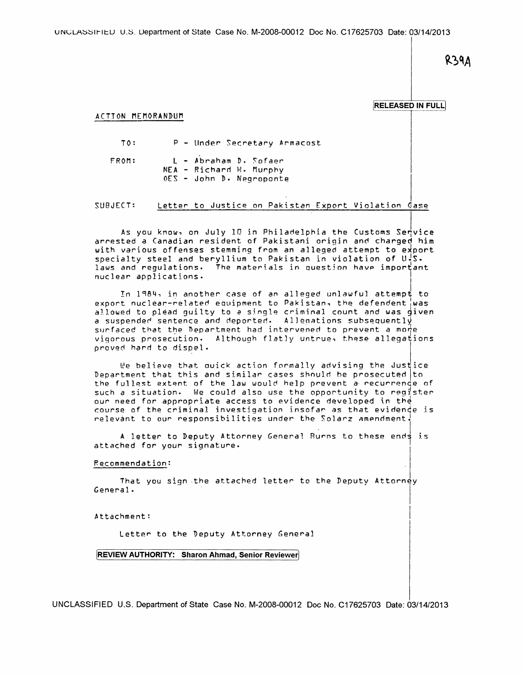UNCLASSIFIED U.S. Department of State Case No. M-2008-00012 Doc No. C17625703 Date: 03/14/2013

R39A

RELEASED IN FULL

 $\mathbf{I}$ 

# ACTJON MEMORANDUM TO: P - Under Secretary Armacost

FROM: L - Abraham D. Sofaer NEA - Richard W. Murphy OES - John D. Negroponte

SUBJECT: Letter *to* Justice on Pakistan Export Violation Gase

As you know, on July 10 in Philadelphia the Customs Senvice<br>arrested a Canadian resident of Pakistani origin and charged him with various offenses stemming from an alleged attempt to export specialty steel and beryllium to Pakistan in violation of  $U/S$ . laws and regulations. The materials in question have important<br>nuclear applications.

!n 1984, in another case of an alleged unlawful attempt to export nuclear-related equipment to Pakistan, the defendent was allowed to plead guilty to a single criminal count and was given a suspended sentence and deported. Allenations subsequently surfaced that the Department had intervened to prevent a more vigorous prosecution. Although flatly untrue, these allegations proved hard to dispel.

We believe that ouick action formally advising the Justice Department that this and similar cases should be prosecuted to the fullest extent of the law would help prevent a recurrence of such *a* situation. We could also use the opportunity to register our need for appropriate access to evidence developed in the course of the criminal investigation insofar as that evidence is relevant to our responsibilities under the Solarz amendment.

solarz omenomence A letter to Deputy Attorney General Rurns to these ends is attached for your signature. .

#### Recommendation:

That you sign the attached letter to the Deputy Attorney<br>|<br>|

Attachment: International Communication of the communication of the communication of the communication of the communication of the communication of the communication of the communication of the communication of the communi

Letter to the Deputy Attorney General

[REVIEW AUTHORITY: Sharon Ahmad, Senior Reviewer]

UNCLASSIFIED U.S. Department of State Case No. M-2008-00012 Doc No. C17625703 Date: 03/14/2013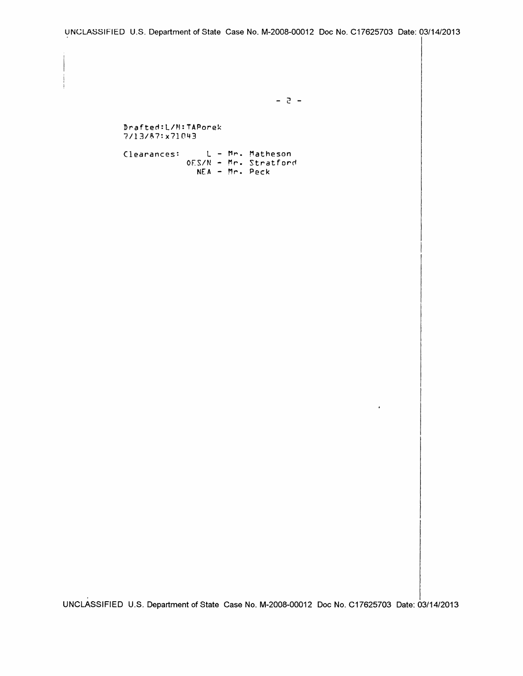- 2 -

 $\hat{\textbf{r}}$ 

Drafted:L/M:TAPorek 7/13/87: x71043

Clearances: oFS/N - Mr. Stratford NEA - Mr. Peck

UNCLASSIFIED U.S. Department of State Case No. M-2008-00012 Doc No. C17625703 Date: 03/14/2013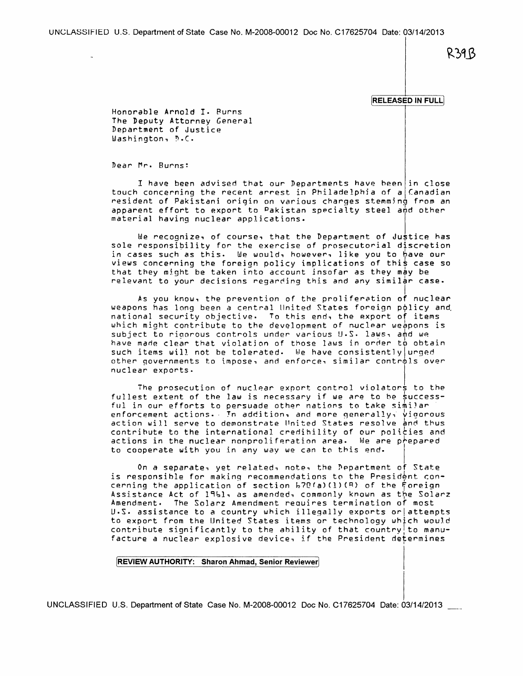R39B

#### RELEASED IN FULL

Honorable Arnold I. 8urns The Deputy Attorney General Department of Justice Washington, P.C.

Dear Mr. Burns:

I have been advised that our Departments have been in close touch concerning the recent arrest in Philadelphia of a Canadian resident of Pakistani origin on various charges stemming from an apparent effort to export to Pakistan specialty steel and other material having nuclear applications.

We recognize, of course, that the Department of Justice has sole responsibility for the exercise of prosecutorial discretion in cases such as this. We would, however, like you to have our views concerning the foreign policy implications of this case so that they might be taken into account insofar as they may be relevant to your decisions regarding this and any similar case.

I was your constant the prevention of the proliferation of nuclear weapons has long been a central linited States foreign policy and national security objective. To this end, the export of items which might contribute to the development of nuclear weapons is subject to rigorous controls under various U.S. laws, and we have made clear that violation of those laws in order to obtain such items will not be tolerated. We have consistently urged other governments to impose, and enforce, similar controls over other governments to impose, and enforce, similar control.<br>nuclear exports.

The prosecution of nuclear export control violators to the fullest extent of the law is necessary if we are to be success-<br>ful in our efforts to persuade other nations to take similar ful in our efforts to persuade other nations to take similar<br>enforcement actions • *I*n addition, and more generally, yigorous action will serve to demonstrate United States resolve and thus contribute to the international credihility of our policies and actions in the nuclear nonproliferation area. We are prepared to cooperate with you in any way we can to this end.

On a separate, yet related, note, the Pepartment of State is responsible for making recommendations to the President concerning the application of section 670(a)(l)(R) of the foreign Assistance Act of 1951, as amended, commonly known as the Solarz Amendment. The Solarz Amendment reauires termination of most U.S. assistance to a country which illegally exports or attempts to export from the United States items or technology which would contribute significantly to the ability of that country to manufacture a nuclear explosive device, if the President determines

#### **REVIEW AUTHORITY: Sharon Ahmad, Senior Reviewer**

UNCLASSIFIED U.S. Department of State Case No. M-2008-00012 Doc No. C17625704 Date: 03/14/2013